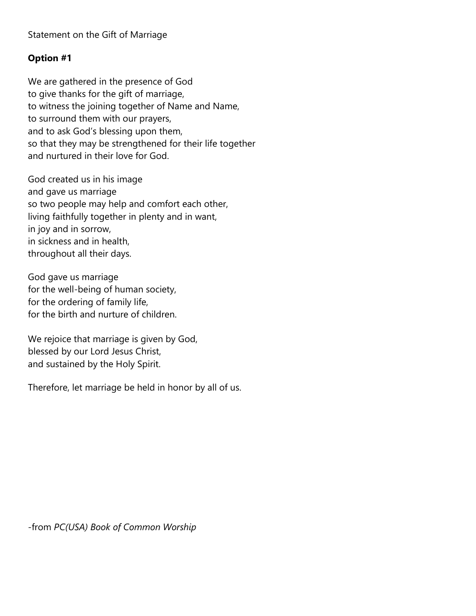## **Option #1**

We are gathered in the presence of God to give thanks for the gift of marriage, to witness the joining together of Name and Name, to surround them with our prayers, and to ask God's blessing upon them, so that they may be strengthened for their life together and nurtured in their love for God.

God created us in his image and gave us marriage so two people may help and comfort each other, living faithfully together in plenty and in want, in joy and in sorrow, in sickness and in health, throughout all their days.

God gave us marriage for the well-being of human society, for the ordering of family life, for the birth and nurture of children.

We rejoice that marriage is given by God, blessed by our Lord Jesus Christ, and sustained by the Holy Spirit.

Therefore, let marriage be held in honor by all of us.

-from *PC(USA) Book of Common Worship*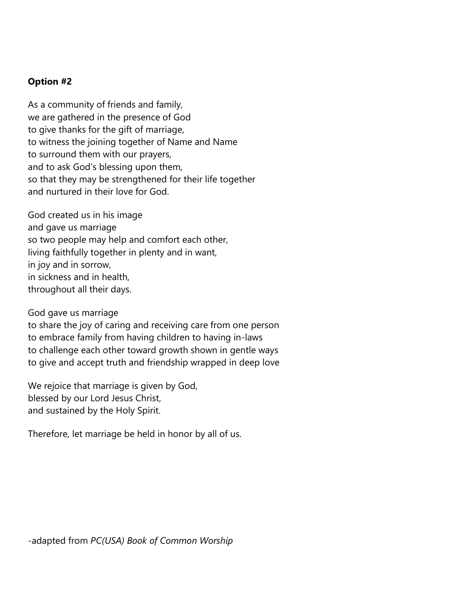## **Option #2**

As a community of friends and family, we are gathered in the presence of God to give thanks for the gift of marriage, to witness the joining together of Name and Name to surround them with our prayers, and to ask God's blessing upon them, so that they may be strengthened for their life together and nurtured in their love for God.

God created us in his image and gave us marriage so two people may help and comfort each other, living faithfully together in plenty and in want, in joy and in sorrow, in sickness and in health, throughout all their days.

God gave us marriage

to share the joy of caring and receiving care from one person to embrace family from having children to having in-laws to challenge each other toward growth shown in gentle ways to give and accept truth and friendship wrapped in deep love

We rejoice that marriage is given by God, blessed by our Lord Jesus Christ, and sustained by the Holy Spirit.

Therefore, let marriage be held in honor by all of us.